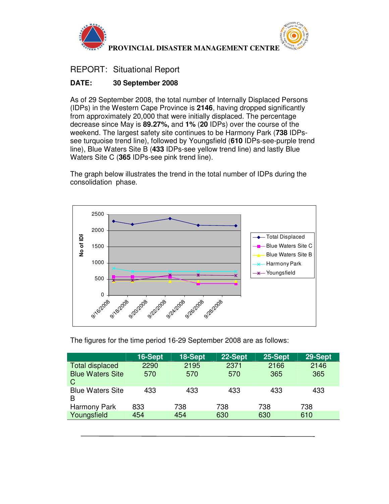

# REPORT: Situational Report

### **DATE: 30 September 2008**

As of 29 September 2008, the total number of Internally Displaced Persons (IDPs) in the Western Cape Province is **2146**, having dropped significantly from approximately 20,000 that were initially displaced. The percentage decrease since May is **89.27%,** and **1%** (**20** IDPs) over the course of the weekend. The largest safety site continues to be Harmony Park (**738** IDPssee turquoise trend line), followed by Youngsfield (**610** IDPs-see-purple trend line), Blue Waters Site B (**433** IDPs-see yellow trend line) and lastly Blue Waters Site C (**365** IDPs-see pink trend line).

The graph below illustrates the trend in the total number of IDPs during the consolidation phase.



The figures for the time period 16-29 September 2008 are as follows:

|                              | 16-Sept | 18-Sept | 22-Sept | 25-Sept | 29-Sept |
|------------------------------|---------|---------|---------|---------|---------|
| <b>Total displaced</b>       | 2290    | 2195    | 2371    | 2166    | 2146    |
| <b>Blue Waters Site</b><br>C | 570     | 570     | 570     | 365     | 365     |
| <b>Blue Waters Site</b><br>B | 433     | 433     | 433     | 433     | 433     |
| <b>Harmony Park</b>          | 833     | 738     | 738     | 738     | 738     |
| Youngsfield                  | 454     | 454     | 630     | 630     | 610     |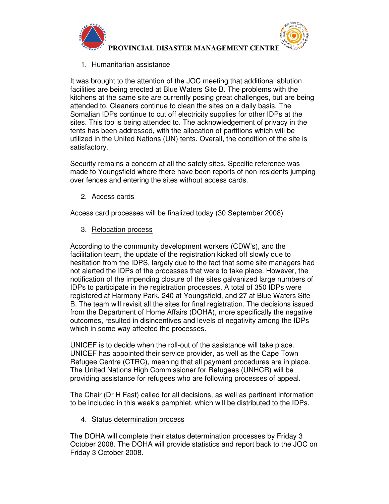



### 1. Humanitarian assistance

It was brought to the attention of the JOC meeting that additional ablution facilities are being erected at Blue Waters Site B. The problems with the kitchens at the same site are currently posing great challenges, but are being attended to. Cleaners continue to clean the sites on a daily basis. The Somalian IDPs continue to cut off electricity supplies for other IDPs at the sites. This too is being attended to. The acknowledgement of privacy in the tents has been addressed, with the allocation of partitions which will be utilized in the United Nations (UN) tents. Overall, the condition of the site is satisfactory.

Security remains a concern at all the safety sites. Specific reference was made to Youngsfield where there have been reports of non-residents jumping over fences and entering the sites without access cards.

2. Access cards

Access card processes will be finalized today (30 September 2008)

3. Relocation process

According to the community development workers (CDW's), and the facilitation team, the update of the registration kicked off slowly due to hesitation from the IDPS, largely due to the fact that some site managers had not alerted the IDPs of the processes that were to take place. However, the notification of the impending closure of the sites galvanized large numbers of IDPs to participate in the registration processes. A total of 350 IDPs were registered at Harmony Park, 240 at Youngsfield, and 27 at Blue Waters Site B. The team will revisit all the sites for final registration. The decisions issued from the Department of Home Affairs (DOHA), more specifically the negative outcomes, resulted in disincentives and levels of negativity among the IDPs which in some way affected the processes.

UNICEF is to decide when the roll-out of the assistance will take place. UNICEF has appointed their service provider, as well as the Cape Town Refugee Centre (CTRC), meaning that all payment procedures are in place. The United Nations High Commissioner for Refugees (UNHCR) will be providing assistance for refugees who are following processes of appeal.

The Chair (Dr H Fast) called for all decisions, as well as pertinent information to be included in this week's pamphlet, which will be distributed to the IDPs.

4. Status determination process

The DOHA will complete their status determination processes by Friday 3 October 2008. The DOHA will provide statistics and report back to the JOC on Friday 3 October 2008.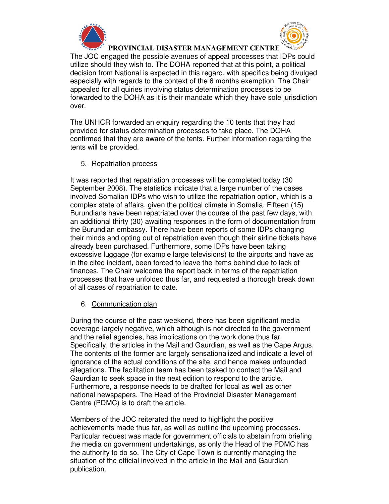



**PROVINCIAL DISASTER MANAGEMENT CENTRE**

The JOC engaged the possible avenues of appeal processes that IDPs could utilize should they wish to. The DOHA reported that at this point, a political decision from National is expected in this regard, with specifics being divulged especially with regards to the context of the 6 months exemption. The Chair appealed for all quiries involving status determination processes to be forwarded to the DOHA as it is their mandate which they have sole jurisdiction over.

The UNHCR forwarded an enquiry regarding the 10 tents that they had provided for status determination processes to take place. The DOHA confirmed that they are aware of the tents. Further information regarding the tents will be provided.

#### 5. Repatriation process

It was reported that repatriation processes will be completed today (30 September 2008). The statistics indicate that a large number of the cases involved Somalian IDPs who wish to utilize the repatriation option, which is a complex state of affairs, given the political climate in Somalia. Fifteen (15) Burundians have been repatriated over the course of the past few days, with an additional thirty (30) awaiting responses in the form of documentation from the Burundian embassy. There have been reports of some IDPs changing their minds and opting out of repatriation even though their airline tickets have already been purchased. Furthermore, some IDPs have been taking excessive luggage (for example large televisions) to the airports and have as in the cited incident, been forced to leave the items behind due to lack of finances. The Chair welcome the report back in terms of the repatriation processes that have unfolded thus far, and requested a thorough break down of all cases of repatriation to date.

#### 6. Communication plan

During the course of the past weekend, there has been significant media coverage-largely negative, which although is not directed to the government and the relief agencies, has implications on the work done thus far. Specifically, the articles in the Mail and Gaurdian, as well as the Cape Argus. The contents of the former are largely sensationalized and indicate a level of ignorance of the actual conditions of the site, and hence makes unfounded allegations. The facilitation team has been tasked to contact the Mail and Gaurdian to seek space in the next edition to respond to the article. Furthermore, a response needs to be drafted for local as well as other national newspapers. The Head of the Provincial Disaster Management Centre (PDMC) is to draft the article.

Members of the JOC reiterated the need to highlight the positive achievements made thus far, as well as outline the upcoming processes. Particular request was made for government officials to abstain from briefing the media on government undertakings, as only the Head of the PDMC has the authority to do so. The City of Cape Town is currently managing the situation of the official involved in the article in the Mail and Gaurdian publication.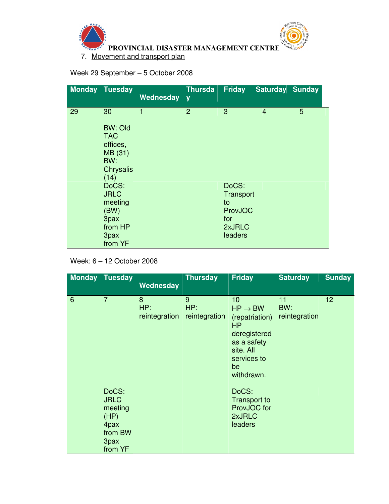

Week 29 September – 5 October 2008

|    | <b>Monday Tuesday</b>                                                                 | Wednesday | <b>Thursda</b><br>y | <b>Friday</b>                                                   | <b>Saturday</b> | <b>Sunday</b> |  |
|----|---------------------------------------------------------------------------------------|-----------|---------------------|-----------------------------------------------------------------|-----------------|---------------|--|
| 29 | 30<br><b>BW: Old</b><br><b>TAC</b><br>offices,<br>MB (31)<br>BW:<br>Chrysalis<br>(14) | 1         | $\overline{2}$      | 3                                                               | $\overline{4}$  | 5             |  |
|    | DoCS:<br><b>JRLC</b><br>meeting<br>(BW)<br>3pax<br>from HP<br>3pax<br>from YF         |           |                     | DoCS:<br>Transport<br>to<br>ProvJOC<br>for<br>2xJRLC<br>leaders |                 |               |  |

# Week: 6 – 12 October 2008

| <b>Monday</b> | <b>Tuesday</b>                                                                | Wednesday                 | <b>Thursday</b>           | <b>Friday</b>                                                                                                                           | <b>Saturday</b>            | <b>Sunday</b> |
|---------------|-------------------------------------------------------------------------------|---------------------------|---------------------------|-----------------------------------------------------------------------------------------------------------------------------------------|----------------------------|---------------|
| 6             | $\overline{7}$                                                                | 8<br>HP:<br>reintegration | 9<br>HP:<br>reintegration | 10<br>$HP \rightarrow BW$<br>(repatriation)<br><b>HP</b><br>deregistered<br>as a safety<br>site. All<br>services to<br>be<br>withdrawn. | 11<br>BW:<br>reintegration | 12            |
|               | DoCS:<br><b>JRLC</b><br>meeting<br>(HP)<br>4pax<br>from BW<br>3pax<br>from YF |                           |                           | DoCS:<br><b>Transport to</b><br>ProvJOC for<br>2xJRLC<br>leaders                                                                        |                            |               |